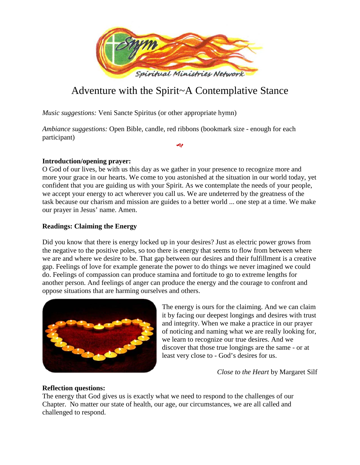

# Adventure with the Spirit~A Contemplative Stance

*Music suggestions:* Veni Sancte Spiritus (or other appropriate hymn)

*Ambiance suggestions:* Open Bible, candle, red ribbons (bookmark size - enough for each participant)

## **Introduction/opening prayer:**

O God of our lives, be with us this day as we gather in your presence to recognize more and more your grace in our hearts. We come to you astonished at the situation in our world today, yet confident that you are guiding us with your Spirit. As we contemplate the needs of your people, we accept your energy to act wherever you call us. We are undeterred by the greatness of the task because our charism and mission are guides to a better world ... one step at a time. We make our prayer in Jesus' name. Amen.

œ

## **Readings: Claiming the Energy**

Did you know that there is energy locked up in your desires? Just as electric power grows from the negative to the positive poles, so too there is energy that seems to flow from between where we are and where we desire to be. That gap between our desires and their fulfillment is a creative gap. Feelings of love for example generate the power to do things we never imagined we could do. Feelings of compassion can produce stamina and fortitude to go to extreme lengths for another person. And feelings of anger can produce the energy and the courage to confront and oppose situations that are harming ourselves and others.



The energy is ours for the claiming. And we can claim it by facing our deepest longings and desires with trust and integrity. When we make a practice in our prayer of noticing and naming what we are really looking for, we learn to recognize our true desires. And we discover that those true longings are the same - or at least very close to - God's desires for us.

*Close to the Heart* by Margaret Silf

### **Reflection questions:**

The energy that God gives us is exactly what we need to respond to the challenges of our Chapter. No matter our state of health, our age, our circumstances, we are all called and challenged to respond.